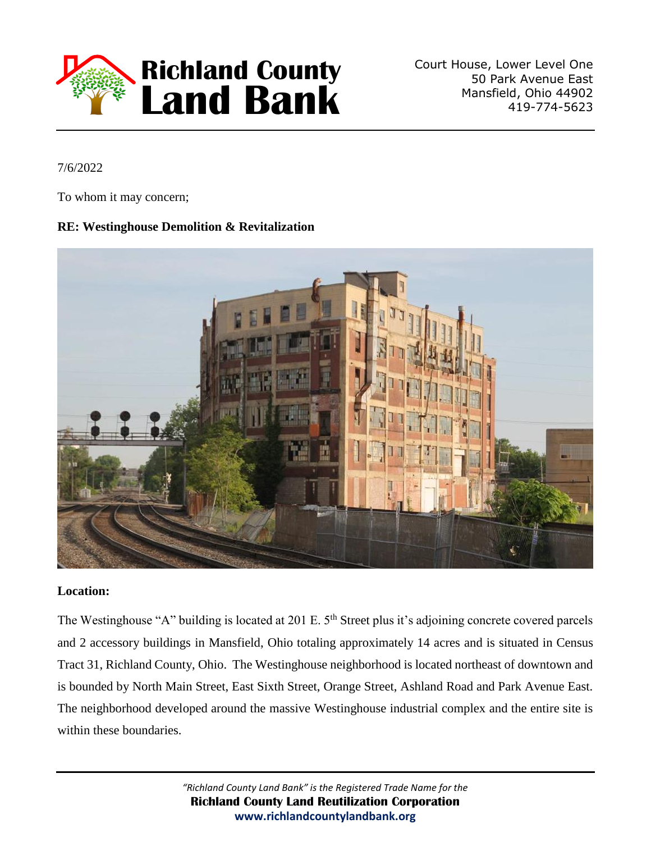

Court House, Lower Level One 50 Park Avenue East Mansfield, Ohio 44902 419-774-5623

7/6/2022

To whom it may concern;

## **RE: Westinghouse Demolition & Revitalization**



### **Location:**

The Westinghouse "A" building is located at 201 E. 5<sup>th</sup> Street plus it's adjoining concrete covered parcels and 2 accessory buildings in Mansfield, Ohio totaling approximately 14 acres and is situated in Census Tract 31, Richland County, Ohio. The Westinghouse neighborhood is located northeast of downtown and is bounded by North Main Street, East Sixth Street, Orange Street, Ashland Road and Park Avenue East. The neighborhood developed around the massive Westinghouse industrial complex and the entire site is within these boundaries.

> *"Richland County Land Bank" is the Registered Trade Name for the*  **Richland County Land Reutilization Corporation www.richlandcountylandbank.org**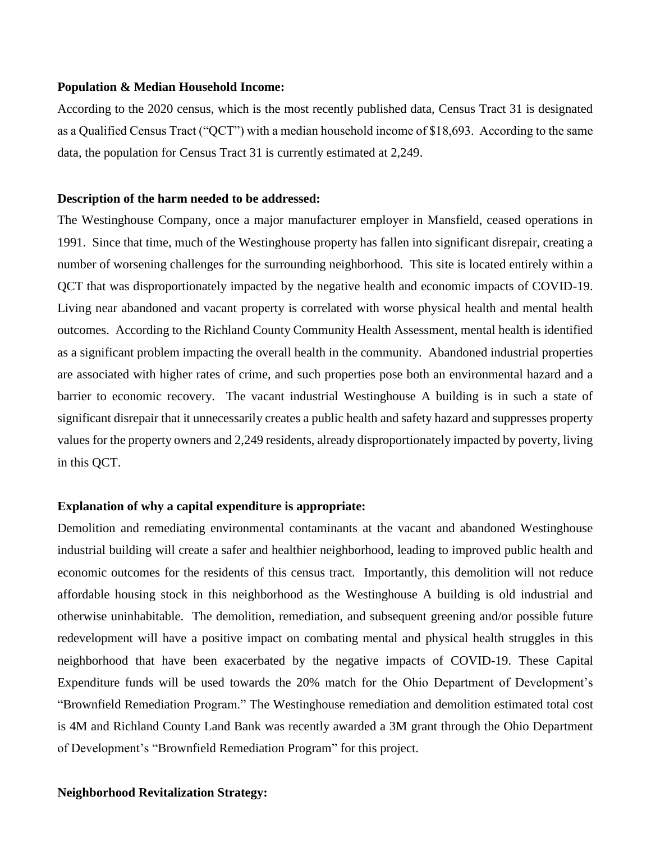#### **Population & Median Household Income:**

According to the 2020 census, which is the most recently published data, Census Tract 31 is designated as a Qualified Census Tract ("QCT") with a median household income of \$18,693. According to the same data, the population for Census Tract 31 is currently estimated at 2,249.

#### **Description of the harm needed to be addressed:**

The Westinghouse Company, once a major manufacturer employer in Mansfield, ceased operations in 1991. Since that time, much of the Westinghouse property has fallen into significant disrepair, creating a number of worsening challenges for the surrounding neighborhood. This site is located entirely within a QCT that was disproportionately impacted by the negative health and economic impacts of COVID-19. Living near abandoned and vacant property is correlated with worse physical health and mental health outcomes. According to the Richland County Community Health Assessment, mental health is identified as a significant problem impacting the overall health in the community. Abandoned industrial properties are associated with higher rates of crime, and such properties pose both an environmental hazard and a barrier to economic recovery. The vacant industrial Westinghouse A building is in such a state of significant disrepair that it unnecessarily creates a public health and safety hazard and suppresses property values for the property owners and 2,249 residents, already disproportionately impacted by poverty, living in this QCT.

#### **Explanation of why a capital expenditure is appropriate:**

Demolition and remediating environmental contaminants at the vacant and abandoned Westinghouse industrial building will create a safer and healthier neighborhood, leading to improved public health and economic outcomes for the residents of this census tract. Importantly, this demolition will not reduce affordable housing stock in this neighborhood as the Westinghouse A building is old industrial and otherwise uninhabitable. The demolition, remediation, and subsequent greening and/or possible future redevelopment will have a positive impact on combating mental and physical health struggles in this neighborhood that have been exacerbated by the negative impacts of COVID-19. These Capital Expenditure funds will be used towards the 20% match for the Ohio Department of Development's "Brownfield Remediation Program." The Westinghouse remediation and demolition estimated total cost is 4M and Richland County Land Bank was recently awarded a 3M grant through the Ohio Department of Development's "Brownfield Remediation Program" for this project.

#### **Neighborhood Revitalization Strategy:**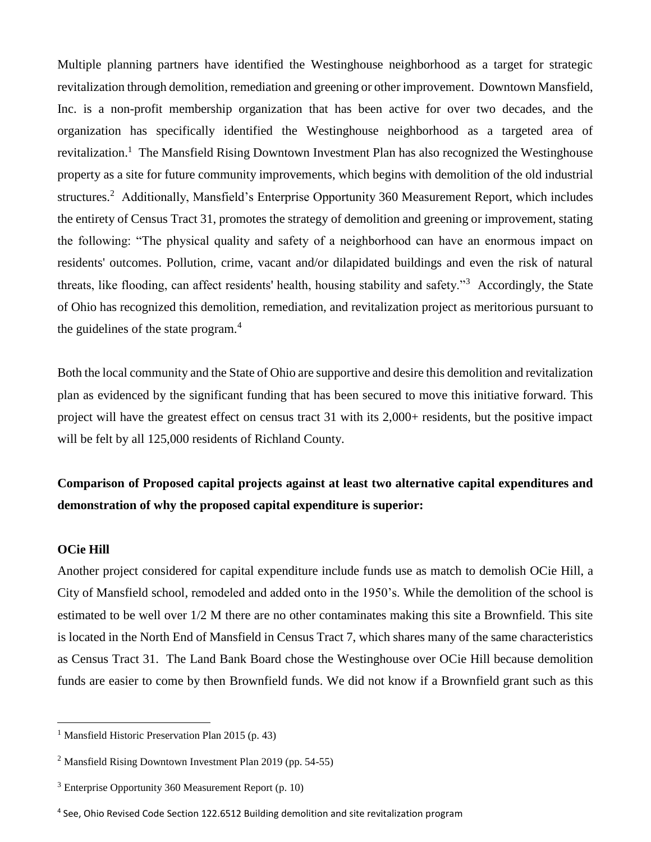Multiple planning partners have identified the Westinghouse neighborhood as a target for strategic revitalization through demolition, remediation and greening or other improvement. Downtown Mansfield, Inc. is a non-profit membership organization that has been active for over two decades, and the organization has specifically identified the Westinghouse neighborhood as a targeted area of revitalization.<sup>1</sup> The Mansfield Rising Downtown Investment Plan has also recognized the Westinghouse property as a site for future community improvements, which begins with demolition of the old industrial structures.<sup>2</sup> Additionally, Mansfield's Enterprise Opportunity 360 Measurement Report, which includes the entirety of Census Tract 31, promotes the strategy of demolition and greening or improvement, stating the following: "The physical quality and safety of a neighborhood can have an enormous impact on residents' outcomes. Pollution, crime, vacant and/or dilapidated buildings and even the risk of natural threats, like flooding, can affect residents' health, housing stability and safety."<sup>3</sup> Accordingly, the State of Ohio has recognized this demolition, remediation, and revitalization project as meritorious pursuant to the guidelines of the state program. $<sup>4</sup>$ </sup>

Both the local community and the State of Ohio are supportive and desire this demolition and revitalization plan as evidenced by the significant funding that has been secured to move this initiative forward. This project will have the greatest effect on census tract 31 with its 2,000+ residents, but the positive impact will be felt by all 125,000 residents of Richland County.

# **Comparison of Proposed capital projects against at least two alternative capital expenditures and demonstration of why the proposed capital expenditure is superior:**

#### **OCie Hill**

 $\overline{a}$ 

Another project considered for capital expenditure include funds use as match to demolish OCie Hill, a City of Mansfield school, remodeled and added onto in the 1950's. While the demolition of the school is estimated to be well over 1/2 M there are no other contaminates making this site a Brownfield. This site is located in the North End of Mansfield in Census Tract 7, which shares many of the same characteristics as Census Tract 31. The Land Bank Board chose the Westinghouse over OCie Hill because demolition funds are easier to come by then Brownfield funds. We did not know if a Brownfield grant such as this

<sup>&</sup>lt;sup>1</sup> Mansfield Historic Preservation Plan 2015 (p. 43)

<sup>2</sup> Mansfield Rising Downtown Investment Plan 2019 (pp. 54-55)

 $3$  Enterprise Opportunity 360 Measurement Report (p. 10)

<sup>&</sup>lt;sup>4</sup> See, Ohio Revised Code Section 122.6512 Building demolition and site revitalization program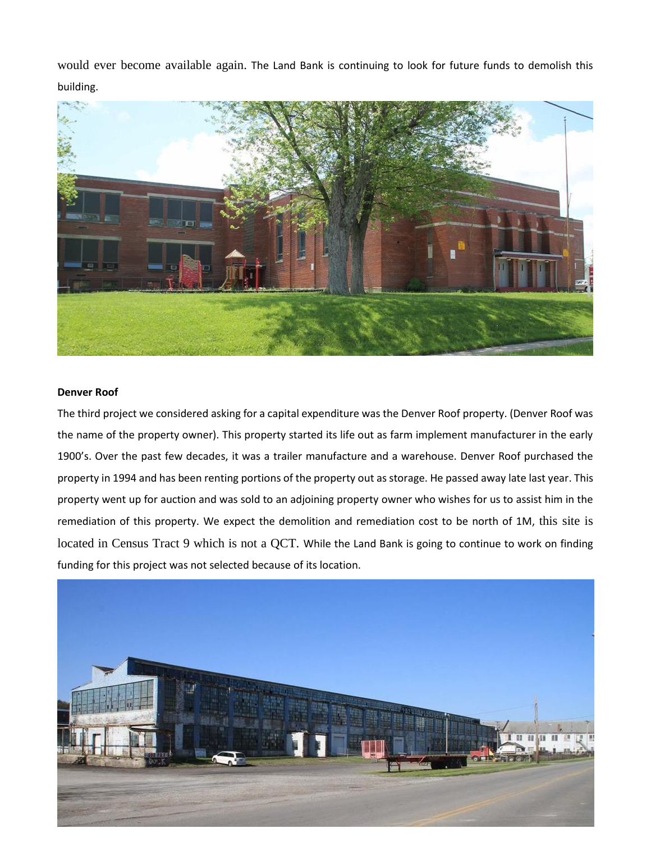would ever become available again. The Land Bank is continuing to look for future funds to demolish this building.



#### **Denver Roof**

The third project we considered asking for a capital expenditure was the Denver Roof property. (Denver Roof was the name of the property owner). This property started its life out as farm implement manufacturer in the early 1900's. Over the past few decades, it was a trailer manufacture and a warehouse. Denver Roof purchased the property in 1994 and has been renting portions of the property out as storage. He passed away late last year. This property went up for auction and was sold to an adjoining property owner who wishes for us to assist him in the remediation of this property. We expect the demolition and remediation cost to be north of 1M, this site is located in Census Tract 9 which is not a QCT. While the Land Bank is going to continue to work on finding funding for this project was not selected because of its location.